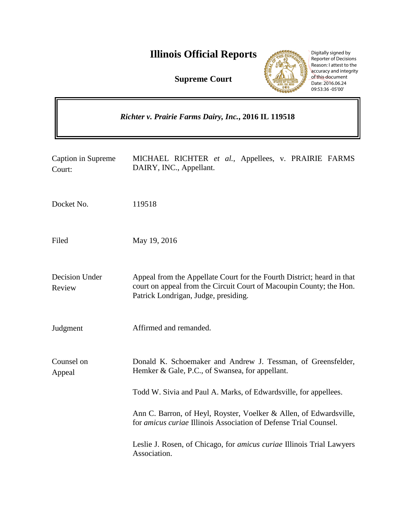# **Illinois Official Reports**

**Supreme Court**



Digitally signed by Reporter of Decisions Reason: I attest to the accuracy and integrity of this document Date: 2016.06.24 09:53:36 -05'00'

*Richter v. Prairie Farms Dairy, Inc.***, 2016 IL 119518** Caption in Supreme Court: MICHAEL RICHTER *et al.*, Appellees, v. PRAIRIE FARMS DAIRY, INC., Appellant. Docket No. 119518 Filed May 19, 2016 Decision Under Review Appeal from the Appellate Court for the Fourth District; heard in that court on appeal from the Circuit Court of Macoupin County; the Hon. Patrick Londrigan, Judge, presiding. Judgment Affirmed and remanded. Counsel on Appeal Donald K. Schoemaker and Andrew J. Tessman, of Greensfelder, Hemker & Gale, P.C., of Swansea, for appellant. Todd W. Sivia and Paul A. Marks, of Edwardsville, for appellees. Ann C. Barron, of Heyl, Royster, Voelker & Allen, of Edwardsville, for *amicus curiae* Illinois Association of Defense Trial Counsel. Leslie J. Rosen, of Chicago, for *amicus curiae* Illinois Trial Lawyers Association.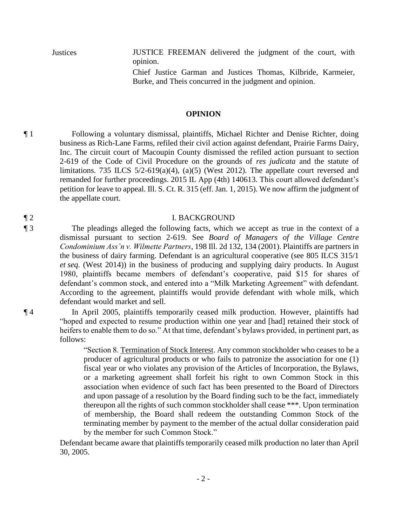Justices JUSTICE FREEMAN delivered the judgment of the court, with opinion.

> Chief Justice Garman and Justices Thomas, Kilbride, Karmeier, Burke, and Theis concurred in the judgment and opinion.

#### **OPINION**

¶ 1 Following a voluntary dismissal, plaintiffs, Michael Richter and Denise Richter, doing business as Rich-Lane Farms, refiled their civil action against defendant, Prairie Farms Dairy, Inc. The circuit court of Macoupin County dismissed the refiled action pursuant to section 2-619 of the Code of Civil Procedure on the grounds of *res judicata* and the statute of limitations. 735 ILCS  $5/2-619(a)(4)$ ,  $(a)(5)$  (West 2012). The appellate court reversed and remanded for further proceedings. 2015 IL App (4th) 140613. This court allowed defendant's petition for leave to appeal. Ill. S. Ct. R. 315 (eff. Jan. 1, 2015). We now affirm the judgment of the appellate court.

#### ¶ 2 I. BACKGROUND

¶ 3 The pleadings alleged the following facts, which we accept as true in the context of a dismissal pursuant to section 2-619. See *Board of Managers of the Village Centre Condominium Ass'n v. Wilmette Partners*, 198 Ill. 2d 132, 134 (2001). Plaintiffs are partners in the business of dairy farming. Defendant is an agricultural cooperative (see 805 ILCS 315/1 *et seq.* (West 2014)) in the business of producing and supplying dairy products. In August 1980, plaintiffs became members of defendant's cooperative, paid \$15 for shares of defendant's common stock, and entered into a "Milk Marketing Agreement" with defendant. According to the agreement, plaintiffs would provide defendant with whole milk, which defendant would market and sell.

¶ 4 In April 2005, plaintiffs temporarily ceased milk production. However, plaintiffs had "hoped and expected to resume production within one year and [had] retained their stock of heifers to enable them to do so." At that time, defendant's bylaws provided, in pertinent part, as follows:

> "Section 8. Termination of Stock Interest. Any common stockholder who ceases to be a producer of agricultural products or who fails to patronize the association for one (1) fiscal year or who violates any provision of the Articles of Incorporation, the Bylaws, or a marketing agreement shall forfeit his right to own Common Stock in this association when evidence of such fact has been presented to the Board of Directors and upon passage of a resolution by the Board finding such to be the fact, immediately thereupon all the rights of such common stockholder shall cease \*\*\*. Upon termination of membership, the Board shall redeem the outstanding Common Stock of the terminating member by payment to the member of the actual dollar consideration paid by the member for such Common Stock."

Defendant became aware that plaintiffs temporarily ceased milk production no later than April 30, 2005.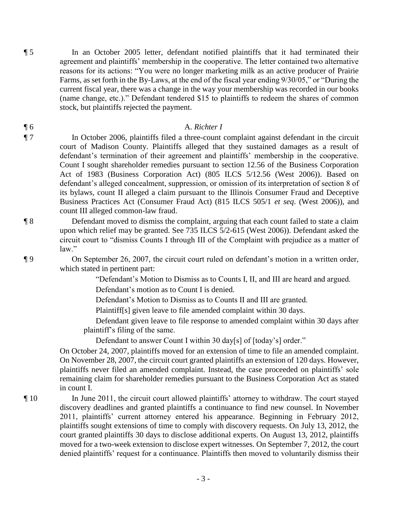¶ 5 In an October 2005 letter, defendant notified plaintiffs that it had terminated their agreement and plaintiffs' membership in the cooperative. The letter contained two alternative reasons for its actions: "You were no longer marketing milk as an active producer of Prairie Farms, as set forth in the By-Laws, at the end of the fiscal year ending 9/30/05," or "During the current fiscal year, there was a change in the way your membership was recorded in our books (name change, etc.)." Defendant tendered \$15 to plaintiffs to redeem the shares of common stock, but plaintiffs rejected the payment.

### ¶ 6 A. *Richter I*

¶ 7 In October 2006, plaintiffs filed a three-count complaint against defendant in the circuit court of Madison County. Plaintiffs alleged that they sustained damages as a result of defendant's termination of their agreement and plaintiffs' membership in the cooperative. Count I sought shareholder remedies pursuant to section 12.56 of the Business Corporation Act of 1983 (Business Corporation Act) (805 ILCS 5/12.56 (West 2006)). Based on defendant's alleged concealment, suppression, or omission of its interpretation of section 8 of its bylaws, count II alleged a claim pursuant to the Illinois Consumer Fraud and Deceptive Business Practices Act (Consumer Fraud Act) (815 ILCS 505/1 *et seq*. (West 2006)), and count III alleged common-law fraud.

¶ 8 Defendant moved to dismiss the complaint, arguing that each count failed to state a claim upon which relief may be granted. See 735 ILCS 5/2-615 (West 2006)). Defendant asked the circuit court to "dismiss Counts I through III of the Complaint with prejudice as a matter of law."

¶ 9 On September 26, 2007, the circuit court ruled on defendant's motion in a written order, which stated in pertinent part:

"Defendant's Motion to Dismiss as to Counts I, II, and III are heard and argued.

Defendant's motion as to Count I is denied.

Defendant's Motion to Dismiss as to Counts II and III are granted.

Plaintiff[s] given leave to file amended complaint within 30 days.

 Defendant given leave to file response to amended complaint within 30 days after plaintiff's filing of the same.

Defendant to answer Count I within 30 day[s] of [today's] order."

On October 24, 2007, plaintiffs moved for an extension of time to file an amended complaint. On November 28, 2007, the circuit court granted plaintiffs an extension of 120 days. However, plaintiffs never filed an amended complaint. Instead, the case proceeded on plaintiffs' sole remaining claim for shareholder remedies pursuant to the Business Corporation Act as stated in count I.

¶ 10 In June 2011, the circuit court allowed plaintiffs' attorney to withdraw. The court stayed discovery deadlines and granted plaintiffs a continuance to find new counsel. In November 2011, plaintiffs' current attorney entered his appearance. Beginning in February 2012, plaintiffs sought extensions of time to comply with discovery requests. On July 13, 2012, the court granted plaintiffs 30 days to disclose additional experts. On August 13, 2012, plaintiffs moved for a two-week extension to disclose expert witnesses. On September 7, 2012, the court denied plaintiffs' request for a continuance. Plaintiffs then moved to voluntarily dismiss their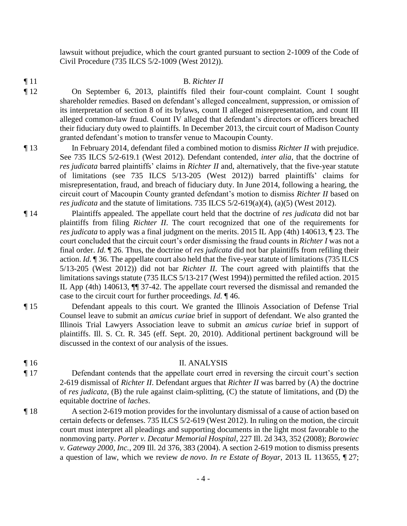lawsuit without prejudice, which the court granted pursuant to section 2-1009 of the Code of Civil Procedure (735 ILCS 5/2-1009 (West 2012)).

¶ 11 B. *Richter II*

- ¶ 12 On September 6, 2013, plaintiffs filed their four-count complaint. Count I sought shareholder remedies. Based on defendant's alleged concealment, suppression, or omission of its interpretation of section 8 of its bylaws, count II alleged misrepresentation, and count III alleged common-law fraud. Count IV alleged that defendant's directors or officers breached their fiduciary duty owed to plaintiffs. In December 2013, the circuit court of Madison County granted defendant's motion to transfer venue to Macoupin County.
- ¶ 13 In February 2014, defendant filed a combined motion to dismiss *Richter II* with prejudice. See 735 ILCS 5/2-619.1 (West 2012). Defendant contended, *inter alia*, that the doctrine of *res judicata* barred plaintiffs' claims in *Richter II* and, alternatively, that the five-year statute of limitations (see 735 ILCS 5/13-205 (West 2012)) barred plaintiffs' claims for misrepresentation, fraud, and breach of fiduciary duty. In June 2014, following a hearing, the circuit court of Macoupin County granted defendant's motion to dismiss *Richter II* based on *res judicata* and the statute of limitations. 735 ILCS 5/2-619(a)(4), (a)(5) (West 2012).
- ¶ 14 Plaintiffs appealed. The appellate court held that the doctrine of *res judicata* did not bar plaintiffs from filing *Richter II*. The court recognized that one of the requirements for *res judicata* to apply was a final judgment on the merits. 2015 IL App (4th) 140613, ¶ 23. The court concluded that the circuit court's order dismissing the fraud counts in *Richter I* was not a final order. *Id.* ¶ 26. Thus, the doctrine of *res judicata* did not bar plaintiffs from refiling their action. *Id.* ¶ 36. The appellate court also held that the five-year statute of limitations (735 ILCS 5/13-205 (West 2012)) did not bar *Richter II*. The court agreed with plaintiffs that the limitations savings statute (735 ILCS 5/13-217 (West 1994)) permitted the refiled action. 2015 IL App (4th) 140613, ¶¶ 37-42. The appellate court reversed the dismissal and remanded the case to the circuit court for further proceedings. *Id.* ¶ 46.
- ¶ 15 Defendant appeals to this court. We granted the Illinois Association of Defense Trial Counsel leave to submit an *amicus curiae* brief in support of defendant. We also granted the Illinois Trial Lawyers Association leave to submit an *amicus curiae* brief in support of plaintiffs. Ill. S. Ct. R. 345 (eff. Sept. 20, 2010). Additional pertinent background will be discussed in the context of our analysis of the issues.

### ¶ 16 II. ANALYSIS

- ¶ 17 Defendant contends that the appellate court erred in reversing the circuit court's section 2-619 dismissal of *Richter II*. Defendant argues that *Richter II* was barred by (A) the doctrine of *res judicata*, (B) the rule against claim-splitting, (C) the statute of limitations, and (D) the equitable doctrine of *laches*.
- ¶ 18 A section 2-619 motion provides for the involuntary dismissal of a cause of action based on certain defects or defenses. 735 ILCS 5/2-619 (West 2012). In ruling on the motion, the circuit court must interpret all pleadings and supporting documents in the light most favorable to the nonmoving party. *Porter v. Decatur Memorial Hospital*, 227 Ill. 2d 343, 352 (2008); *Borowiec v. Gateway 2000, Inc.*, 209 Ill. 2d 376, 383 (2004). A section 2-619 motion to dismiss presents a question of law, which we review *de novo*. *In re Estate of Boyar*, 2013 IL 113655, ¶ 27;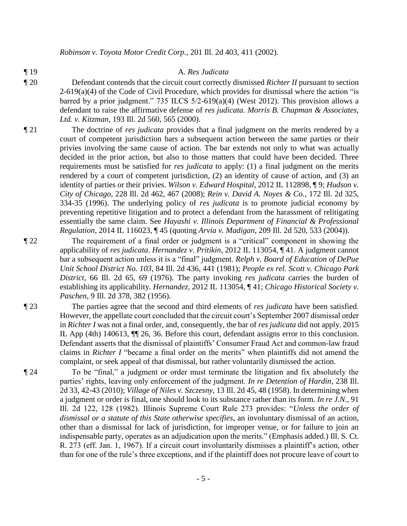*Robinson v. Toyota Motor Credit Corp.*, 201 Ill. 2d 403, 411 (2002).

#### ¶ 19 A. *Res Judicata*

- ¶ 20 Defendant contends that the circuit court correctly dismissed *Richter II* pursuant to section  $2-619(a)(4)$  of the Code of Civil Procedure, which provides for dismissal where the action "is barred by a prior judgment." 735 ILCS 5/2-619(a)(4) (West 2012). This provision allows a defendant to raise the affirmative defense of *res judicata*. *Morris B. Chapman & Associates, Ltd. v. Kitzman*, 193 Ill. 2d 560, 565 (2000).
- ¶ 21 The doctrine of *res judicata* provides that a final judgment on the merits rendered by a court of competent jurisdiction bars a subsequent action between the same parties or their privies involving the same cause of action. The bar extends not only to what was actually decided in the prior action, but also to those matters that could have been decided. Three requirements must be satisfied for *res judicata* to apply: (1) a final judgment on the merits rendered by a court of competent jurisdiction, (2) an identity of cause of action, and (3) an identity of parties or their privies. *Wilson v. Edward Hospital*, 2012 IL 112898, ¶ 9; *Hudson v. City of Chicago*, 228 Ill. 2d 462, 467 (2008); *Rein v. David A. Noyes & Co.*, 172 Ill. 2d 325, 334-35 (1996). The underlying policy of *res judicata* is to promote judicial economy by preventing repetitive litigation and to protect a defendant from the harassment of relitigating essentially the same claim. See *Hayashi v. Illinois Department of Financial & Professional Regulation*, 2014 IL 116023, ¶ 45 (quoting *Arvia v. Madigan*, 209 Ill. 2d 520, 533 (2004)).
- ¶ 22 The requirement of a final order or judgment is a "critical" component in showing the applicability of *res judicata*. *Hernandez v. Pritikin*, 2012 IL 113054, ¶ 41. A judgment cannot bar a subsequent action unless it is a "final" judgment. *Relph v. Board of Education of DePue Unit School District No. 103*, 84 Ill. 2d 436, 441 (1981); *People ex rel. Scott v. Chicago Park District*, 66 Ill. 2d 65, 69 (1976). The party invoking *res judicata* carries the burden of establishing its applicability. *Hernandez*, 2012 IL 113054, ¶ 41; *Chicago Historical Society v. Paschen*, 9 Ill. 2d 378, 382 (1956).
- ¶ 23 The parties agree that the second and third elements of *res judicata* have been satisfied. However, the appellate court concluded that the circuit court's September 2007 dismissal order in *Richter I* was not a final order, and, consequently, the bar of *res judicata* did not apply. 2015 IL App (4th) 140613, ¶¶ 26, 36. Before this court, defendant assigns error to this conclusion. Defendant asserts that the dismissal of plaintiffs' Consumer Fraud Act and common-law fraud claims in *Richter I* "became a final order on the merits" when plaintiffs did not amend the complaint, or seek appeal of that dismissal, but rather voluntarily dismissed the action.
- ¶ 24 To be "final," a judgment or order must terminate the litigation and fix absolutely the parties' rights, leaving only enforcement of the judgment. *In re Detention of Hardin*, 238 Ill. 2d 33, 42-43 (2010); *Village of Niles v. Szczesny*, 13 Ill. 2d 45, 48 (1958). In determining when a judgment or order is final, one should look to its substance rather than its form. *In re J.N.*, 91 Ill. 2d 122, 128 (1982). Illinois Supreme Court Rule 273 provides: "*Unless the order of dismissal or a statute of this State otherwise specifies*, an involuntary dismissal of an action, other than a dismissal for lack of jurisdiction, for improper venue, or for failure to join an indispensable party, operates as an adjudication upon the merits." (Emphasis added.) Ill. S. Ct. R. 273 (eff. Jan. 1, 1967). If a circuit court involuntarily dismisses a plaintiff's action, other than for one of the rule's three exceptions, and if the plaintiff does not procure leave of court to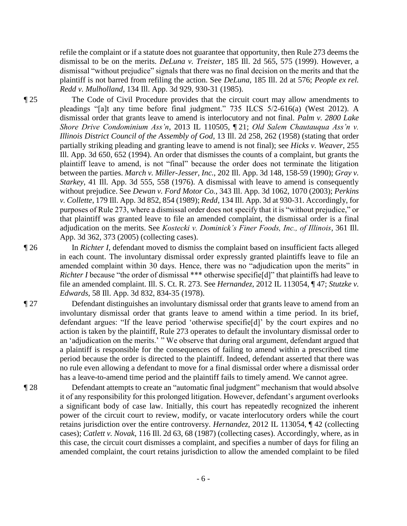refile the complaint or if a statute does not guarantee that opportunity, then Rule 273 deems the dismissal to be on the merits. *DeLuna v. Treister*, 185 Ill. 2d 565, 575 (1999). However, a dismissal "without prejudice" signals that there was no final decision on the merits and that the plaintiff is not barred from refiling the action. See *DeLuna*, 185 Ill. 2d at 576; *People ex rel. Redd v. Mulholland*, 134 Ill. App. 3d 929, 930-31 (1985).

¶ 25 The Code of Civil Procedure provides that the circuit court may allow amendments to pleadings "[a]t any time before final judgment." 735 ILCS 5/2-616(a) (West 2012). A dismissal order that grants leave to amend is interlocutory and not final. *Palm v. 2800 Lake Shore Drive Condominium Ass'n*, 2013 IL 110505, ¶ 21; *Old Salem Chautauqua Ass'n v. Illinois District Council of the Assembly of God*, 13 Ill. 2d 258, 262 (1958) (stating that order partially striking pleading and granting leave to amend is not final); see *Hicks v. Weaver*, 255 Ill. App. 3d 650, 652 (1994). An order that dismisses the counts of a complaint, but grants the plaintiff leave to amend, is not "final" because the order does not terminate the litigation between the parties. *March v. Miller-Jesser, Inc.*, 202 Ill. App. 3d 148, 158-59 (1990); *Gray v. Starkey*, 41 Ill. App. 3d 555, 558 (1976). A dismissal with leave to amend is consequently without prejudice. See *Dewan v. Ford Motor Co.*, 343 Ill. App. 3d 1062, 1070 (2003); *Perkins v. Collette*, 179 Ill. App. 3d 852, 854 (1989); *Redd*, 134 Ill. App. 3d at 930-31. Accordingly, for purposes of Rule 273, where a dismissal order does not specify that it is "without prejudice," or that plaintiff was granted leave to file an amended complaint, the dismissal order is a final adjudication on the merits. See *Kostecki v. Dominick's Finer Foods, Inc., of Illinois*, 361 Ill. App. 3d 362, 373 (2005) (collecting cases).

¶ 26 In *Richter I*, defendant moved to dismiss the complaint based on insufficient facts alleged in each count. The involuntary dismissal order expressly granted plaintiffs leave to file an amended complaint within 30 days. Hence, there was no "adjudication upon the merits" in *Richter I* because "the order of dismissal \*\*\* otherwise specifie<sup>[d]"</sup> that plaintiffs had leave to file an amended complaint. Ill. S. Ct. R. 273. See *Hernandez*, 2012 IL 113054, ¶ 47; *Stutzke v. Edwards*, 58 Ill. App. 3d 832, 834-35 (1978).

¶ 27 Defendant distinguishes an involuntary dismissal order that grants leave to amend from an involuntary dismissal order that grants leave to amend within a time period. In its brief, defendant argues: "If the leave period 'otherwise specifie[d]' by the court expires and no action is taken by the plaintiff, Rule 273 operates to default the involuntary dismissal order to an 'adjudication on the merits.' " We observe that during oral argument, defendant argued that a plaintiff is responsible for the consequences of failing to amend within a prescribed time period because the order is directed to the plaintiff. Indeed, defendant asserted that there was no rule even allowing a defendant to move for a final dismissal order where a dismissal order has a leave-to-amend time period and the plaintiff fails to timely amend. We cannot agree.

¶ 28 Defendant attempts to create an "automatic final judgment" mechanism that would absolve it of any responsibility for this prolonged litigation. However, defendant's argument overlooks a significant body of case law. Initially, this court has repeatedly recognized the inherent power of the circuit court to review, modify, or vacate interlocutory orders while the court retains jurisdiction over the entire controversy. *Hernandez*, 2012 IL 113054, ¶ 42 (collecting cases); *Catlett v. Novak*, 116 Ill. 2d 63, 68 (1987) (collecting cases). Accordingly, where, as in this case, the circuit court dismisses a complaint, and specifies a number of days for filing an amended complaint, the court retains jurisdiction to allow the amended complaint to be filed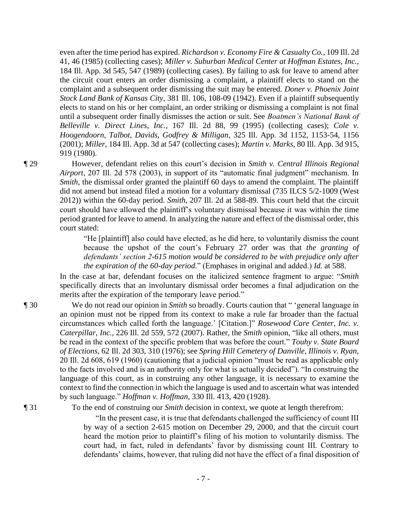even after the time period has expired. *Richardson v. Economy Fire & Casualty Co.*, 109 Ill. 2d 41, 46 (1985) (collecting cases); *Miller v. Suburban Medical Center at Hoffman Estates, Inc.*, 184 Ill. App. 3d 545, 547 (1989) (collecting cases). By failing to ask for leave to amend after the circuit court enters an order dismissing a complaint, a plaintiff elects to stand on the complaint and a subsequent order dismissing the suit may be entered. *Doner v. Phoenix Joint Stock Land Bank of Kansas City*, 381 Ill. 106, 108-09 (1942). Even if a plaintiff subsequently elects to stand on his or her complaint, an order striking or dismissing a complaint is not final until a subsequent order finally dismisses the action or suit. See *Boatmen's National Bank of Belleville v. Direct Lines, Inc.*, 167 Ill. 2d 88, 99 (1995) (collecting cases); *Cole v. Hoogendoorn, Talbot, Davids, Godfrey & Milligan*, 325 Ill. App. 3d 1152, 1153-54, 1156 (2001); *Miller*, 184 Ill. App. 3d at 547 (collecting cases); *Martin v. Marks*, 80 Ill. App. 3d 915, 919 (1980).

¶ 29 However, defendant relies on this court's decision in *Smith v. Central Illinois Regional Airport*, 207 Ill. 2d 578 (2003), in support of its "automatic final judgment" mechanism. In *Smith*, the dismissal order granted the plaintiff 60 days to amend the complaint. The plaintiff did not amend but instead filed a motion for a voluntary dismissal (735 ILCS 5/2-1009 (West 2012)) within the 60-day period. *Smith*, 207 Ill. 2d at 588-89. This court held that the circuit court should have allowed the plaintiff's voluntary dismissal because it was within the time period granted for leave to amend. In analyzing the nature and effect of the dismissal order, this court stated:

> "He [plaintiff] also could have elected, as he did here, to voluntarily dismiss the count because the upshot of the court's February 27 order was that *the granting of defendants' section 2-615 motion would be considered to be with prejudice only after the expiration of the 60-day period*." (Emphases in original and added.) *Id.* at 588.

In the case at bar, defendant focuses on the italicized sentence fragment to argue: "*Smith* specifically directs that an involuntary dismissal order becomes a final adjudication on the merits after the expiration of the temporary leave period."

¶ 30 We do not read our opinion in *Smith* so broadly. Courts caution that " 'general language in an opinion must not be ripped from its context to make a rule far broader than the factual circumstances which called forth the language.' [Citation.]" *Rosewood Care Center, Inc. v. Caterpillar, Inc.*, 226 Ill. 2d 559, 572 (2007). Rather, the *Smith* opinion, "like all others, must be read in the context of the specific problem that was before the court." *Touhy v. State Board of Elections*, 62 Ill. 2d 303, 310 (1976); see *Spring Hill Cemetery of Danville, Illinois v. Ryan*, 20 Ill. 2d 608, 619 (1960) (cautioning that a judicial opinion "must be read as applicable only to the facts involved and is an authority only for what is actually decided"). "In construing the language of this court, as in construing any other language, it is necessary to examine the context to find the connection in which the language is used and to ascertain what was intended by such language." *Hoffman v. Hoffman*, 330 Ill. 413, 420 (1928).

¶ 31 To the end of construing our *Smith* decision in context, we quote at length therefrom:

"In the present case, it is true that defendants challenged the sufficiency of count III by way of a section 2-615 motion on December 29, 2000, and that the circuit court heard the motion prior to plaintiff's filing of his motion to voluntarily dismiss. The court had, in fact, ruled in defendants' favor by dismissing count III. Contrary to defendants' claims, however, that ruling did not have the effect of a final disposition of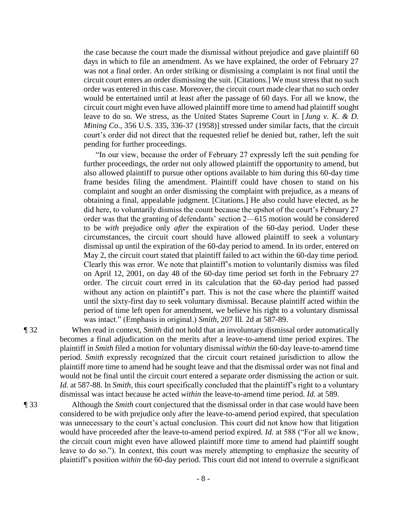the case because the court made the dismissal without prejudice and gave plaintiff 60 days in which to file an amendment. As we have explained, the order of February 27 was not a final order. An order striking or dismissing a complaint is not final until the circuit court enters an order dismissing the suit. [Citations.] We must stress that no such order was entered in this case. Moreover, the circuit court made clear that no such order would be entertained until at least after the passage of 60 days. For all we know, the circuit court might even have allowed plaintiff more time to amend had plaintiff sought leave to do so. We stress, as the United States Supreme Court in [*Jung v. K. & D. Mining Co.*, 356 U.S. 335, 336-37 (1958)] stressed under similar facts, that the circuit court's order did not direct that the requested relief be denied but, rather, left the suit pending for further proceedings.

"In our view, because the order of February 27 expressly left the suit pending for further proceedings, the order not only allowed plaintiff the opportunity to amend, but also allowed plaintiff to pursue other options available to him during this 60-day time frame besides filing the amendment. Plaintiff could have chosen to stand on his complaint and sought an order dismissing the complaint with prejudice, as a means of obtaining a final, appealable judgment. [Citations.] He also could have elected, as he did here, to voluntarily dismiss the count because the upshot of the court's February 27 order was that the granting of defendants' section 2—615 motion would be considered to be *with* prejudice only *after* the expiration of the 60-day period. Under these circumstances, the circuit court should have allowed plaintiff to seek a voluntary dismissal up until the expiration of the 60-day period to amend. In its order, entered on May 2, the circuit court stated that plaintiff failed to act within the 60-day time period. Clearly this was error. We note that plaintiff's motion to voluntarily dismiss was filed on April 12, 2001, on day 48 of the 60-day time period set forth in the February 27 order. The circuit court erred in its calculation that the 60-day period had passed without any action on plaintiff's part. This is not the case where the plaintiff waited until the sixty-first day to seek voluntary dismissal. Because plaintiff acted within the period of time left open for amendment, we believe his right to a voluntary dismissal was intact." (Emphasis in original.) *Smith*, 207 Ill. 2d at 587-89.

¶ 32 When read in context, *Smith* did not hold that an involuntary dismissal order automatically becomes a final adjudication on the merits after a leave-to-amend time period expires. The plaintiff in *Smith* filed a motion for voluntary dismissal *within* the 60-day leave-to-amend time period. *Smith* expressly recognized that the circuit court retained jurisdiction to allow the plaintiff more time to amend had he sought leave and that the dismissal order was not final and would not be final until the circuit court entered a separate order dismissing the action or suit. *Id.* at 587-88. In *Smith*, this court specifically concluded that the plaintiff's right to a voluntary dismissal was intact because he acted *within* the leave-to-amend time period. *Id.* at 589.

¶ 33 Although the *Smith* court conjectured that the dismissal order in that case would have been considered to be with prejudice only after the leave-to-amend period expired, that speculation was unnecessary to the court's actual conclusion. This court did not know how that litigation would have proceeded after the leave-to-amend period expired. *Id.* at 588 ("For all we know, the circuit court might even have allowed plaintiff more time to amend had plaintiff sought leave to do so."). In context, this court was merely attempting to emphasize the security of plaintiff's position *within* the 60-day period. This court did not intend to overrule a significant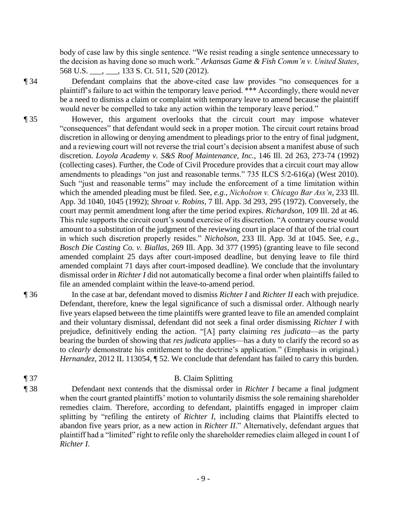body of case law by this single sentence. "We resist reading a single sentence unnecessary to the decision as having done so much work." *Arkansas Game & Fish Comm'n v. United States*, 568 U.S. (133 S. Ct. 511, 520 (2012).

¶ 34 Defendant complains that the above-cited case law provides "no consequences for a plaintiff's failure to act within the temporary leave period. \*\*\* Accordingly, there would never be a need to dismiss a claim or complaint with temporary leave to amend because the plaintiff would never be compelled to take any action within the temporary leave period."

- ¶ 35 However, this argument overlooks that the circuit court may impose whatever "consequences" that defendant would seek in a proper motion. The circuit court retains broad discretion in allowing or denying amendment to pleadings prior to the entry of final judgment, and a reviewing court will not reverse the trial court's decision absent a manifest abuse of such discretion. *Loyola Academy v. S&S Roof Maintenance, Inc.*, 146 Ill. 2d 263, 273-74 (1992) (collecting cases). Further, the Code of Civil Procedure provides that a circuit court may allow amendments to pleadings "on just and reasonable terms." 735 ILCS 5/2-616(a) (West 2010). Such "just and reasonable terms" may include the enforcement of a time limitation within which the amended pleading must be filed. See, *e.g.*, *Nicholson v. Chicago Bar Ass'n*, 233 Ill. App. 3d 1040, 1045 (1992); *Shroat v. Robins*, 7 Ill. App. 3d 293, 295 (1972). Conversely, the court may permit amendment long after the time period expires. *Richardson*, 109 Ill. 2d at 46. This rule supports the circuit court's sound exercise of its discretion. "A contrary course would amount to a substitution of the judgment of the reviewing court in place of that of the trial court in which such discretion properly resides." *Nicholson*, 233 Ill. App. 3d at 1045. See, *e.g.*, *Bosch Die Casting Co. v. Biallas*, 269 Ill. App. 3d 377 (1995) (granting leave to file second amended complaint 25 days after court-imposed deadline, but denying leave to file third amended complaint 71 days after court-imposed deadline). We conclude that the involuntary dismissal order in *Richter I* did not automatically become a final order when plaintiffs failed to file an amended complaint within the leave-to-amend period.
- ¶ 36 In the case at bar, defendant moved to dismiss *Richter I* and *Richter II* each with prejudice. Defendant, therefore, knew the legal significance of such a dismissal order. Although nearly five years elapsed between the time plaintiffs were granted leave to file an amended complaint and their voluntary dismissal, defendant did not seek a final order dismissing *Richter I* with prejudice, definitively ending the action. "[A] party claiming *res judicata*—as the party bearing the burden of showing that *res judicata* applies—has a duty to clarify the record so as to *clearly* demonstrate his entitlement to the doctrine's application." (Emphasis in original.) *Hernandez*, 2012 IL 113054, ¶ 52. We conclude that defendant has failed to carry this burden.

## ¶ 37 B. Claim Splitting

¶ 38 Defendant next contends that the dismissal order in *Richter I* became a final judgment when the court granted plaintiffs' motion to voluntarily dismiss the sole remaining shareholder remedies claim. Therefore, according to defendant, plaintiffs engaged in improper claim splitting by "refiling the entirety of *Richter I*, including claims that Plaintiffs elected to abandon five years prior, as a new action in *Richter II*." Alternatively, defendant argues that plaintiff had a "limited" right to refile only the shareholder remedies claim alleged in count I of *Richter I*.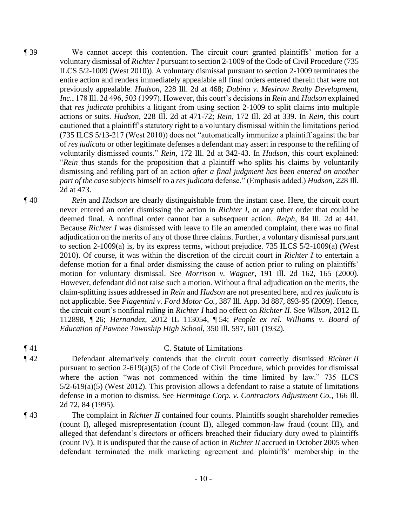- ¶ 39 We cannot accept this contention. The circuit court granted plaintiffs' motion for a voluntary dismissal of *Richter I* pursuant to section 2-1009 of the Code of Civil Procedure (735 ILCS 5/2-1009 (West 2010)). A voluntary dismissal pursuant to section 2-1009 terminates the entire action and renders immediately appealable all final orders entered therein that were not previously appealable. *Hudson*, 228 Ill. 2d at 468; *Dubina v. Mesirow Realty Development, Inc.*, 178 Ill. 2d 496, 503 (1997). However, this court's decisions in *Rein* and *Hudson* explained that *res judicata* prohibits a litigant from using section 2-1009 to split claims into multiple actions or suits. *Hudson*, 228 Ill. 2d at 471-72; *Rein*, 172 Ill. 2d at 339. In *Rein*, this court cautioned that a plaintiff's statutory right to a voluntary dismissal within the limitations period (735 ILCS 5/13-217 (West 2010)) does not "automatically immunize a plaintiff against the bar of *res judicata* or other legitimate defenses a defendant may assert in response to the refiling of voluntarily dismissed counts." *Rein*, 172 Ill. 2d at 342-43. In *Hudson*, this court explained: "*Rein* thus stands for the proposition that a plaintiff who splits his claims by voluntarily dismissing and refiling part of an action *after a final judgment has been entered on another part of the case* subjects himself to a *res judicata* defense." (Emphasis added.) *Hudson*, 228 Ill. 2d at 473.
- ¶ 40 *Rein* and *Hudson* are clearly distinguishable from the instant case. Here, the circuit court never entered an order dismissing the action in *Richter I*, or any other order that could be deemed final. A nonfinal order cannot bar a subsequent action. *Relph*, 84 Ill. 2d at 441. Because *Richter I* was dismissed with leave to file an amended complaint, there was no final adjudication on the merits of any of those three claims. Further, a voluntary dismissal pursuant to section 2-1009(a) is, by its express terms, without prejudice. 735 ILCS 5/2-1009(a) (West 2010). Of course, it was within the discretion of the circuit court in *Richter I* to entertain a defense motion for a final order dismissing the cause of action prior to ruling on plaintiffs' motion for voluntary dismissal. See *Morrison v. Wagner*, 191 Ill. 2d 162, 165 (2000). However, defendant did not raise such a motion. Without a final adjudication on the merits, the claim-splitting issues addressed in *Rein* and *Hudson* are not presented here, and *res judicata* is not applicable. See *Piagentini v. Ford Motor Co.*, 387 Ill. App. 3d 887, 893-95 (2009). Hence, the circuit court's nonfinal ruling in *Richter I* had no effect on *Richter II*. See *Wilson*, 2012 IL 112898, ¶ 26; *Hernandez*, 2012 IL 113054, ¶ 54; *People ex rel. Williams v. Board of Education of Pawnee Township High School*, 350 Ill. 597, 601 (1932).
- 

# ¶ 41 C. Statute of Limitations

- ¶ 42 Defendant alternatively contends that the circuit court correctly dismissed *Richter II* pursuant to section 2-619(a)(5) of the Code of Civil Procedure, which provides for dismissal where the action "was not commenced within the time limited by law." 735 ILCS  $5/2$ -619(a)(5) (West 2012). This provision allows a defendant to raise a statute of limitations defense in a motion to dismiss. See *Hermitage Corp. v. Contractors Adjustment Co.*, 166 Ill. 2d 72, 84 (1995).
- ¶ 43 The complaint in *Richter II* contained four counts. Plaintiffs sought shareholder remedies (count I), alleged misrepresentation (count II), alleged common-law fraud (count III), and alleged that defendant's directors or officers breached their fiduciary duty owed to plaintiffs (count IV). It is undisputed that the cause of action in *Richter II* accrued in October 2005 when defendant terminated the milk marketing agreement and plaintiffs' membership in the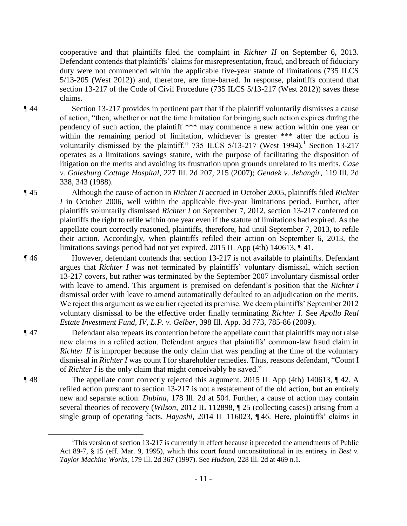cooperative and that plaintiffs filed the complaint in *Richter II* on September 6, 2013. Defendant contends that plaintiffs' claims for misrepresentation, fraud, and breach of fiduciary duty were not commenced within the applicable five-year statute of limitations (735 ILCS 5/13-205 (West 2012)) and, therefore, are time-barred. In response, plaintiffs contend that section 13-217 of the Code of Civil Procedure (735 ILCS 5/13-217 (West 2012)) saves these claims.

 $\overline{a}$ 

¶ 44 Section 13-217 provides in pertinent part that if the plaintiff voluntarily dismisses a cause of action, "then, whether or not the time limitation for bringing such action expires during the pendency of such action, the plaintiff \*\*\* may commence a new action within one year or within the remaining period of limitation, whichever is greater \*\*\* after the action is voluntarily dismissed by the plaintiff."  $735$  ILCS  $5/13-217$  (West 1994).<sup>1</sup> Section 13-217 operates as a limitations savings statute, with the purpose of facilitating the disposition of litigation on the merits and avoiding its frustration upon grounds unrelated to its merits. *Case v. Galesburg Cottage Hospital*, 227 Ill. 2d 207, 215 (2007); *Gendek v. Jehangir*, 119 Ill. 2d 338, 343 (1988).

¶ 45 Although the cause of action in *Richter II* accrued in October 2005, plaintiffs filed *Richter I* in October 2006, well within the applicable five-year limitations period. Further, after plaintiffs voluntarily dismissed *Richter I* on September 7, 2012, section 13-217 conferred on plaintiffs the right to refile within one year even if the statute of limitations had expired. As the appellate court correctly reasoned, plaintiffs, therefore, had until September 7, 2013, to refile their action. Accordingly, when plaintiffs refiled their action on September 6, 2013, the limitations savings period had not yet expired. 2015 IL App (4th) 140613, ¶ 41.

- ¶ 46 However, defendant contends that section 13-217 is not available to plaintiffs. Defendant argues that *Richter I* was not terminated by plaintiffs' voluntary dismissal, which section 13-217 covers, but rather was terminated by the September 2007 involuntary dismissal order with leave to amend. This argument is premised on defendant's position that the *Richter I* dismissal order with leave to amend automatically defaulted to an adjudication on the merits. We reject this argument as we earlier rejected its premise. We deem plaintiffs' September 2012 voluntary dismissal to be the effective order finally terminating *Richter I*. See *Apollo Real Estate Investment Fund, IV, L.P. v. Gelber*, 398 Ill. App. 3d 773, 785-86 (2009).
- ¶ 47 Defendant also repeats its contention before the appellate court that plaintiffs may not raise new claims in a refiled action. Defendant argues that plaintiffs' common-law fraud claim in *Richter II* is improper because the only claim that was pending at the time of the voluntary dismissal in *Richter I* was count I for shareholder remedies. Thus, reasons defendant, "Count I of *Richter I* is the only claim that might conceivably be saved."
- ¶ 48 The appellate court correctly rejected this argument. 2015 IL App (4th) 140613, ¶ 42. A refiled action pursuant to section 13-217 is not a restatement of the old action, but an entirely new and separate action. *Dubina*, 178 Ill. 2d at 504. Further, a cause of action may contain several theories of recovery (*Wilson*, 2012 IL 112898, ¶ 25 (collecting cases)) arising from a single group of operating facts. *Hayashi*, 2014 IL 116023, ¶ 46. Here, plaintiffs' claims in

<sup>&</sup>lt;sup>1</sup>This version of section 13-217 is currently in effect because it preceded the amendments of Public Act 89-7, § 15 (eff. Mar. 9, 1995), which this court found unconstitutional in its entirety in *Best v. Taylor Machine Works*, 179 Ill. 2d 367 (1997). See *Hudson*, 228 Ill. 2d at 469 n.1.